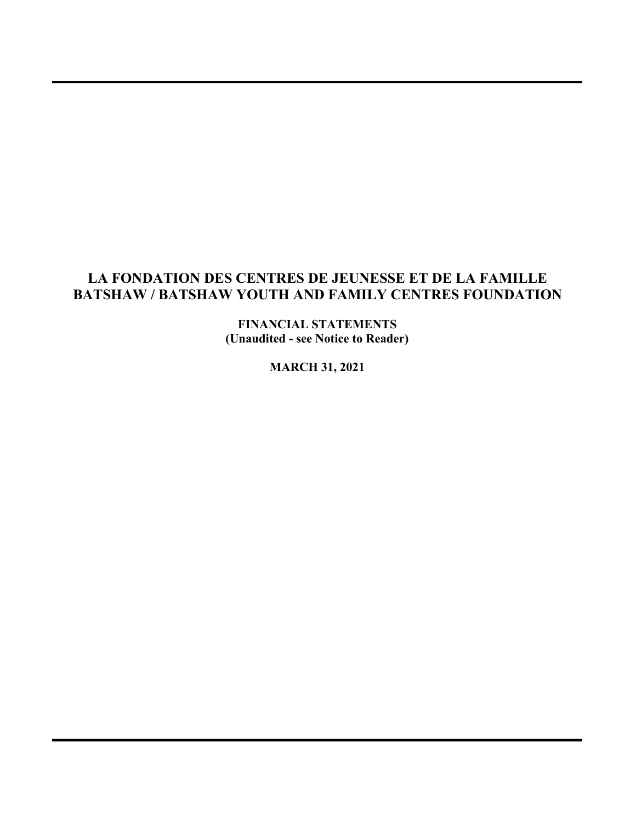**FINANCIAL STATEMENTS (Unaudited - see Notice to Reader)**

**MARCH 31, 2021**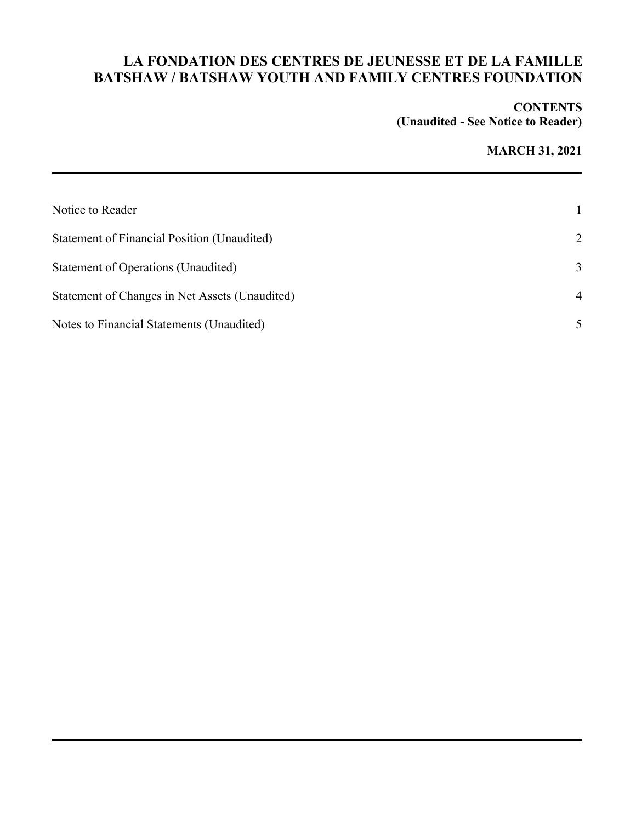#### **CONTENTS (Unaudited - See Notice to Reader)**

## **MARCH 31, 2021**

| Notice to Reader                               |                |
|------------------------------------------------|----------------|
| Statement of Financial Position (Unaudited)    | 2              |
| Statement of Operations (Unaudited)            | 3              |
| Statement of Changes in Net Assets (Unaudited) | $\overline{4}$ |
| Notes to Financial Statements (Unaudited)      |                |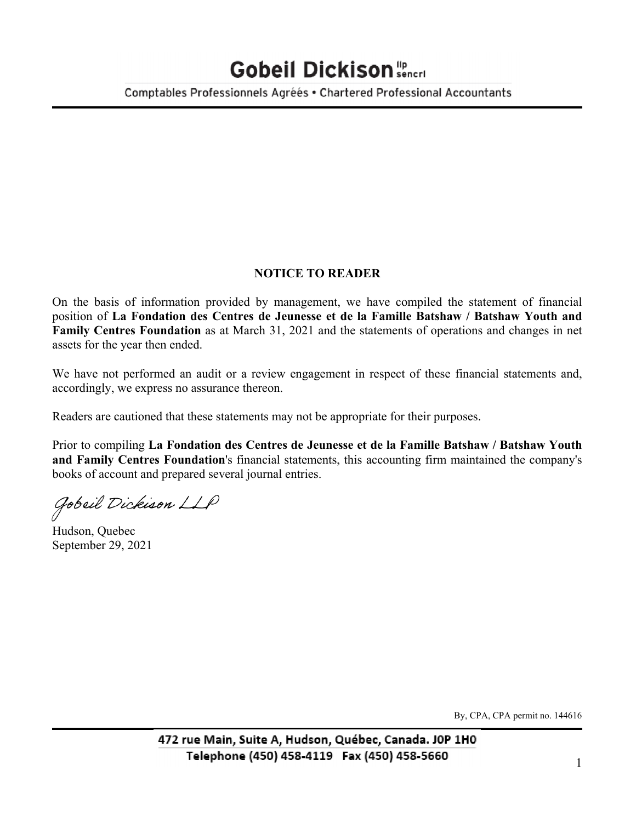# Gobeil Dickison sencri

Comptables Professionnels Agréés • Chartered Professional Accountants

#### **NOTICE TO READER**

On the basis of information provided by management, we have compiled the statement of financial position of **La Fondation des Centres de Jeunesse et de la Famille Batshaw / Batshaw Youth and Family Centres Foundation** as at March 31, 2021 and the statements of operations and changes in net assets for the year then ended.

We have not performed an audit or a review engagement in respect of these financial statements and, accordingly, we express no assurance thereon.

Readers are cautioned that these statements may not be appropriate for their purposes.

Prior to compiling **La Fondation des Centres de Jeunesse et de la Famille Batshaw / Batshaw Youth and Family Centres Foundation**'s financial statements, this accounting firm maintained the company's books of account and prepared several journal entries.

Gobeil Dickison LLP

Hudson, Quebec September 29, 2021

By, CPA, CPA permit no. 144616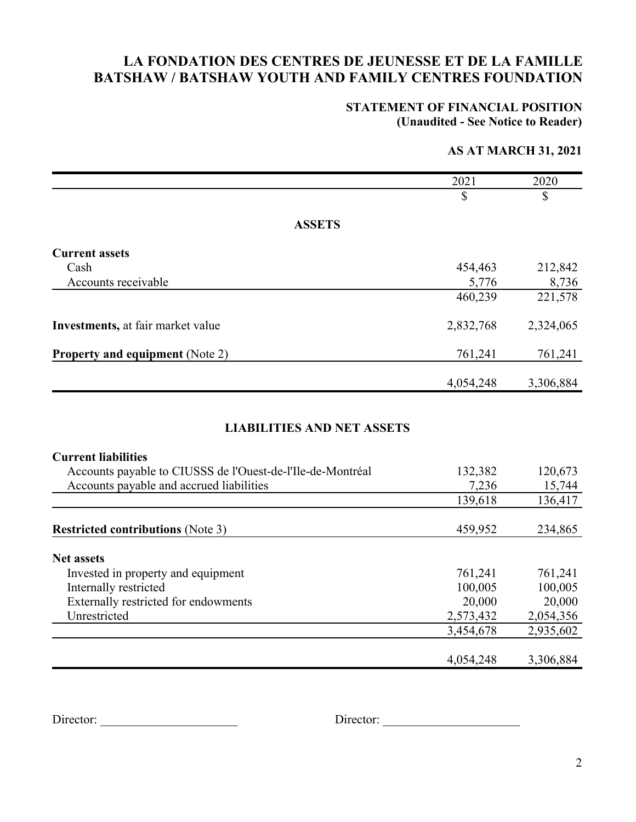#### **STATEMENT OF FINANCIAL POSITION (Unaudited - See Notice to Reader)**

### **AS AT MARCH 31, 2021**

|                                                                                                                               | 2021      | 2020      |
|-------------------------------------------------------------------------------------------------------------------------------|-----------|-----------|
|                                                                                                                               | \$        | \$        |
| <b>ASSETS</b>                                                                                                                 |           |           |
| <b>Current assets</b>                                                                                                         |           |           |
| Cash                                                                                                                          | 454,463   | 212,842   |
| Accounts receivable                                                                                                           | 5,776     | 8,736     |
|                                                                                                                               | 460,239   | 221,578   |
| Investments, at fair market value                                                                                             | 2,832,768 | 2,324,065 |
| <b>Property and equipment (Note 2)</b>                                                                                        | 761,241   | 761,241   |
|                                                                                                                               | 4,054,248 | 3,306,884 |
| <b>LIABILITIES AND NET ASSETS</b><br><b>Current liabilities</b><br>Accounts payable to CIUSSS de l'Ouest-de-l'Ile-de-Montréal | 132,382   | 120,673   |
| Accounts payable and accrued liabilities                                                                                      | 7,236     | 15,744    |
|                                                                                                                               | 139,618   | 136,417   |
| <b>Restricted contributions (Note 3)</b>                                                                                      | 459,952   | 234,865   |
| <b>Net assets</b>                                                                                                             |           |           |
| Invested in property and equipment                                                                                            | 761,241   | 761,241   |
| Internally restricted                                                                                                         | 100,005   | 100,005   |
| Externally restricted for endowments                                                                                          | 20,000    | 20,000    |
| Unrestricted                                                                                                                  | 2,573,432 | 2,054,356 |
|                                                                                                                               | 3,454,678 | 2,935,602 |
|                                                                                                                               | 4,054,248 | 3,306,884 |

Director: \_\_\_\_\_\_\_\_\_\_\_\_\_\_\_\_\_\_\_\_\_\_ Director: \_\_\_\_\_\_\_\_\_\_\_\_\_\_\_\_\_\_\_\_\_\_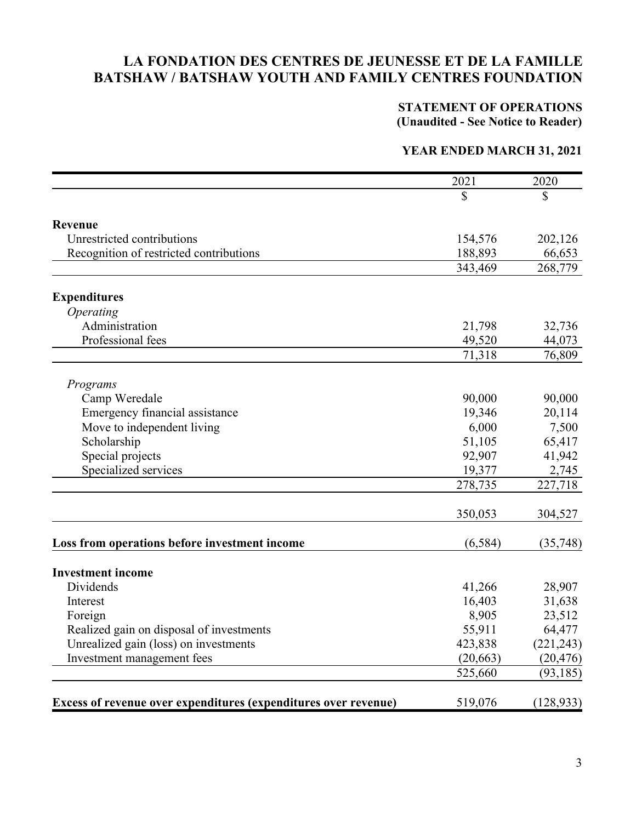#### **STATEMENT OF OPERATIONS (Unaudited - See Notice to Reader)**

#### **YEAR ENDED MARCH 31, 2021**

|                                                                 | 2021      | 2020       |
|-----------------------------------------------------------------|-----------|------------|
|                                                                 | \$        | \$         |
| <b>Revenue</b>                                                  |           |            |
| Unrestricted contributions                                      | 154,576   | 202,126    |
| Recognition of restricted contributions                         | 188,893   | 66,653     |
|                                                                 | 343,469   | 268,779    |
|                                                                 |           |            |
| <b>Expenditures</b>                                             |           |            |
| Operating                                                       |           |            |
| Administration                                                  | 21,798    | 32,736     |
| Professional fees                                               | 49,520    | 44,073     |
|                                                                 | 71,318    | 76,809     |
| Programs                                                        |           |            |
| Camp Weredale                                                   | 90,000    | 90,000     |
| Emergency financial assistance                                  | 19,346    | 20,114     |
| Move to independent living                                      | 6,000     | 7,500      |
| Scholarship                                                     | 51,105    | 65,417     |
| Special projects                                                | 92,907    | 41,942     |
| Specialized services                                            | 19,377    | 2,745      |
|                                                                 | 278,735   | 227,718    |
|                                                                 | 350,053   | 304,527    |
| Loss from operations before investment income                   | (6, 584)  | (35,748)   |
| <b>Investment income</b>                                        |           |            |
| Dividends                                                       | 41,266    | 28,907     |
| Interest                                                        | 16,403    | 31,638     |
| Foreign                                                         | 8,905     | 23,512     |
| Realized gain on disposal of investments                        | 55,911    | 64,477     |
| Unrealized gain (loss) on investments                           | 423,838   | (221, 243) |
| Investment management fees                                      | (20, 663) | (20, 476)  |
|                                                                 | 525,660   | (93, 185)  |
|                                                                 |           |            |
| Excess of revenue over expenditures (expenditures over revenue) | 519,076   | (128, 933) |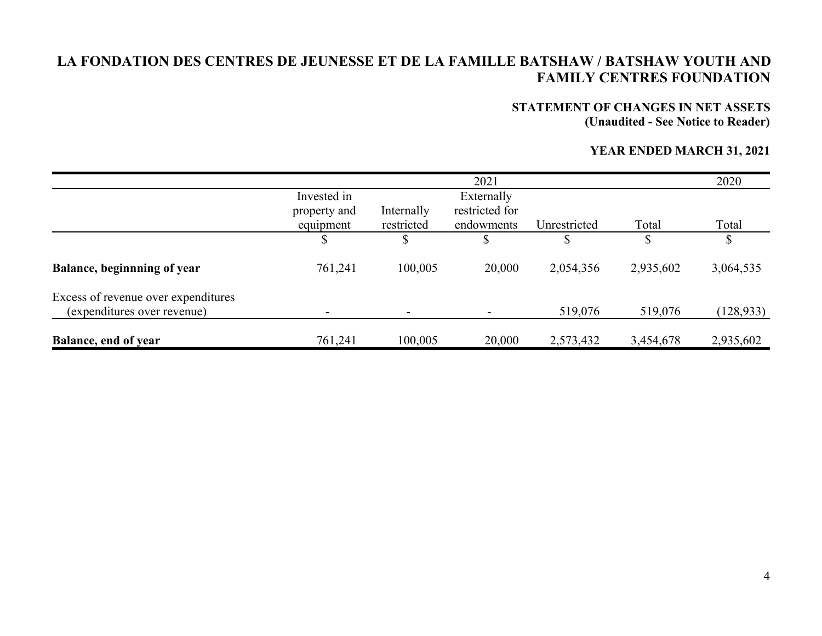# **STATEMENT OF CHANGES IN NET ASSETS**

**(Unaudited - See Notice to Reader)**

#### **YEAR ENDED MARCH 31, 2021**

|                                     |              |            | 2021           |              |           | 2020       |
|-------------------------------------|--------------|------------|----------------|--------------|-----------|------------|
|                                     | Invested in  |            | Externally     |              |           |            |
|                                     | property and | Internally | restricted for |              |           |            |
|                                     | equipment    | restricted | endowments     | Unrestricted | Total     | Total      |
|                                     | \$           |            | \$             | J            | \$        | \$         |
| Balance, beginnning of year         | 761,241      | 100,005    | 20,000         | 2,054,356    | 2,935,602 | 3,064,535  |
| Excess of revenue over expenditures |              |            |                |              |           |            |
| (expenditures over revenue)         |              |            |                | 519,076      | 519,076   | (128, 933) |
| <b>Balance, end of year</b>         | 761,241      | 100,005    | 20,000         | 2,573,432    | 3,454,678 | 2,935,602  |